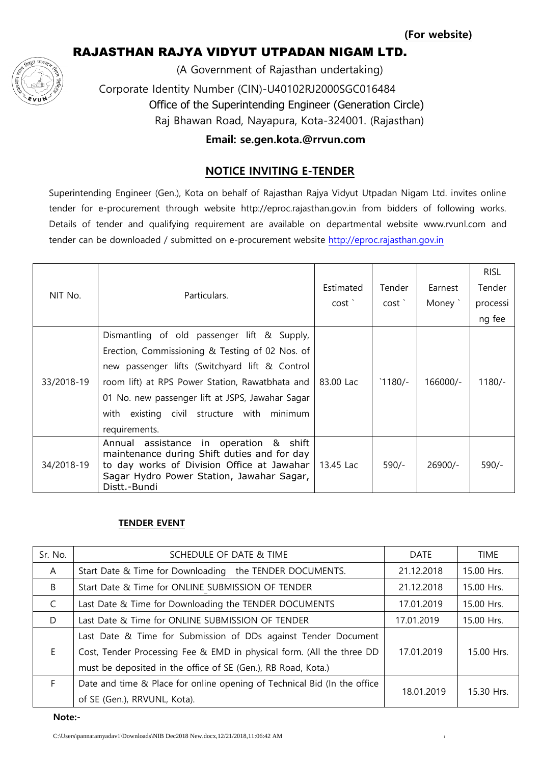## RAJASTHAN RAJYA VIDYUT UTPADAN NIGAM LTD.

(A Government of Rajasthan undertaking) Corporate Identity Number (CIN)-U40102RJ2000SGC016484 Office of the Superintending Engineer (Generation Circle) Raj Bhawan Road, Nayapura, Kota-324001. (Rajasthan)

### **Email: se.gen.kota.@rrvun.com**

### **NOTICE INVITING E-TENDER**

Superintending Engineer (Gen.), Kota on behalf of Rajasthan Rajya Vidyut Utpadan Nigam Ltd. invites online tender for e-procurement through website http://eproc.rajasthan.gov.in from bidders of following works. Details of tender and qualifying requirement are available on departmental website www.rvunl.com and tender can be downloaded / submitted on e-procurement website [http://eproc.rajasthan.gov.in](http://eproc.rajasthan.gov.in/)

| NIT No.    |                                                                                                                                                                                                           |           |                  |          | <b>RISL</b> |
|------------|-----------------------------------------------------------------------------------------------------------------------------------------------------------------------------------------------------------|-----------|------------------|----------|-------------|
|            | Particulars.                                                                                                                                                                                              | Estimated | Tender           | Earnest  | Tender      |
|            |                                                                                                                                                                                                           | cost'     | cost `           | Money `  | processi    |
|            |                                                                                                                                                                                                           |           |                  |          | ng fee      |
| 33/2018-19 | Dismantling of old passenger lift & Supply,                                                                                                                                                               |           |                  |          |             |
|            | Erection, Commissioning & Testing of 02 Nos. of                                                                                                                                                           |           |                  |          |             |
|            | new passenger lifts (Switchyard lift & Control                                                                                                                                                            |           |                  |          |             |
|            | room lift) at RPS Power Station, Rawatbhata and                                                                                                                                                           | 83.00 Lac | $^{\circ}1180/-$ | 166000/- | $1180/-$    |
|            | 01 No. new passenger lift at JSPS, Jawahar Sagar                                                                                                                                                          |           |                  |          |             |
|            | with existing civil structure with<br>minimum                                                                                                                                                             |           |                  |          |             |
|            | requirements.                                                                                                                                                                                             |           |                  |          |             |
| 34/2018-19 | & shift<br>in operation<br>Annual<br>assistance<br>maintenance during Shift duties and for day<br>to day works of Division Office at Jawahar<br>Sagar Hydro Power Station, Jawahar Sagar,<br>Distt.-Bundi | 13.45 Lac | $590/-$          | 26900/-  | $590/-$     |

#### **TENDER EVENT**

| Sr. No. | SCHEDULE OF DATE & TIME                                                  | DATE       | <b>TIME</b> |
|---------|--------------------------------------------------------------------------|------------|-------------|
| A       | Start Date & Time for Downloading the TENDER DOCUMENTS.                  | 21.12.2018 | 15.00 Hrs.  |
| B       | Start Date & Time for ONLINE SUBMISSION OF TENDER                        | 21.12.2018 | 15.00 Hrs.  |
| C       | Last Date & Time for Downloading the TENDER DOCUMENTS                    | 17.01.2019 | 15.00 Hrs.  |
| D       | Last Date & Time for ONLINE SUBMISSION OF TENDER                         | 17.01.2019 | 15.00 Hrs.  |
|         | Last Date & Time for Submission of DDs against Tender Document           |            |             |
| F.      | Cost, Tender Processing Fee & EMD in physical form. (All the three DD    | 17.01.2019 | 15.00 Hrs.  |
|         | must be deposited in the office of SE (Gen.), RB Road, Kota.)            |            |             |
| F.      | Date and time & Place for online opening of Technical Bid (In the office | 18.01.2019 | 15.30 Hrs.  |
|         | of SE (Gen.), RRVUNL, Kota).                                             |            |             |

**Note:-**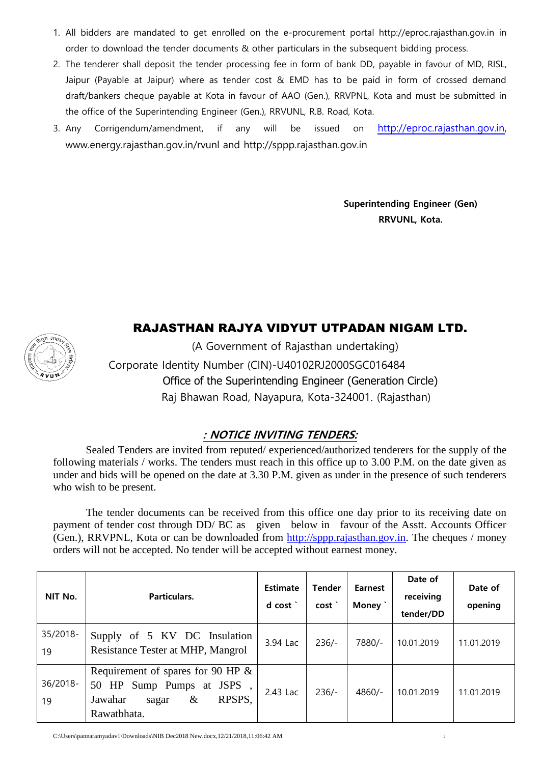- 1. All bidders are mandated to get enrolled on the e-procurement portal http://eproc.rajasthan.gov.in in order to download the tender documents & other particulars in the subsequent bidding process.
- 2. The tenderer shall deposit the tender processing fee in form of bank DD, payable in favour of MD, RISL, Jaipur (Payable at Jaipur) where as tender cost & EMD has to be paid in form of crossed demand draft/bankers cheque payable at Kota in favour of AAO (Gen.), RRVPNL, Kota and must be submitted in the office of the Superintending Engineer (Gen.), RRVUNL, R.B. Road, Kota.
- 3. Any Corrigendum/amendment, if any will be issued on [http://eproc.rajasthan.gov.in,](http://eproc.rajasthan.gov.in/) www.energy.rajasthan.gov.in/rvunl and http://sppp.rajasthan.gov.in

**Superintending Engineer (Gen) RRVUNL, Kota.**

### RAJASTHAN RAJYA VIDYUT UTPADAN NIGAM LTD.

 (A Government of Rajasthan undertaking) Corporate Identity Number (CIN)-U40102RJ2000SGC016484 Office of the Superintending Engineer (Generation Circle) Raj Bhawan Road, Nayapura, Kota-324001. (Rajasthan)

### **: NOTICE INVITING TENDERS:**

Sealed Tenders are invited from reputed/ experienced/authorized tenderers for the supply of the following materials / works. The tenders must reach in this office up to 3.00 P.M. on the date given as under and bids will be opened on the date at 3.30 P.M. given as under in the presence of such tenderers who wish to be present.

The tender documents can be received from this office one day prior to its receiving date on payment of tender cost through DD/ BC as given below in favour of the Asstt. Accounts Officer (Gen.), RRVPNL, Kota or can be downloaded from [http://sppp.rajasthan.gov.in.](http://sppp.rajasthan.gov.in/) The cheques / money orders will not be accepted. No tender will be accepted without earnest money.

| NIT No.        | Particulars.                                                                                                          | Estimate<br>$d$ cost $\dot{ }$ | <b>Tender</b><br>$cost^$ | <b>Earnest</b><br>Money ` | Date of<br>receiving<br>tender/DD | Date of<br>opening |
|----------------|-----------------------------------------------------------------------------------------------------------------------|--------------------------------|--------------------------|---------------------------|-----------------------------------|--------------------|
| 35/2018-<br>19 | Supply of 5 KV DC Insulation<br>Resistance Tester at MHP, Mangrol                                                     | 3.94 Lac                       | $236/-$                  | 7880/-                    | 10.01.2019                        | 11.01.2019         |
| 36/2018-<br>19 | Requirement of spares for 90 HP $\&$<br>50 HP Sump Pumps at JSPS<br>RPSPS,<br>Jawahar<br>$\&$<br>sagar<br>Rawatbhata. | 2.43 Lac                       | $236/-$                  | $4860/-$                  | 10.01.2019                        | 11.01.2019         |

C:\Users\pannaramyadav1\Downloads\NIB Dec2018 New.docx,12/21/2018,11:06:42 AM <sup>2</sup>

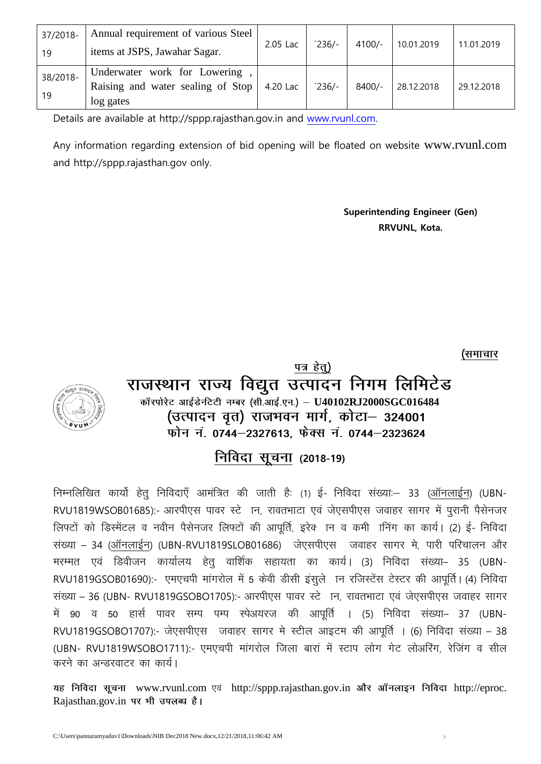| 37/2018-       | Annual requirement of various Steel | 2.05 Lac | $236/-$ | $4100/-$ | 10.01.2019 | 11.01.2019 |
|----------------|-------------------------------------|----------|---------|----------|------------|------------|
| 19             | items at JSPS, Jawahar Sagar.       |          |         |          |            |            |
| 38/2018-<br>19 | Underwater work for Lowering,       |          |         |          |            |            |
|                | Raising and water sealing of Stop   | 4.20 Lac | $236/-$ | $8400/-$ | 28.12.2018 | 29.12.2018 |
|                | log gates                           |          |         |          |            |            |

Details are available at http://sppp.rajasthan.gov.in and [www.rvunl.com.](http://www.rvunl.com/)

Any information regarding extension of bid opening will be floated on website www.rvunl.com and http://sppp.rajasthan.gov only.

### **Superintending Engineer (Gen) RRVUNL, Kota.**

 **¼lekpkj** 



## <u>पत्र हेतु)</u> राजस्थान राज्य विद्युत उत्पादन निगम लिमिटेड **-**<br>कॉरपोरेट आईडेनटेटी नम्बर (सी.आई.एन.) – U40102RJ2000SGC016484 (उत्पादन वृत) राजभवन मार्ग, कोटा– 324001 ,<br>फोन नं. 0744–2327613, फेक्स नं. 0744–2323624

# **निविदा सूचना (2018-19)**

निम्नलिखित कार्यो हेतू निविदाएँ आमंत्रित की जाती हैः (1) ई- निविदा संख्याः– 33 (ऑनलाईन) (UBN-RVU1819WSOB01685):- आरपीएस पावर स्टे ान, रावतभाटा एवं जेएसपीएस जवाहर सागर में पूरानी पैसेनजर लिफ्टों को डिस्मेंटल व नवीन पैसेनजर लिफ्टों की आपूर्ति, इरेक ान व कमी ानिंग का कार्य। (2) ई- निविदा संख्या – 34 (ऑनलाईन) (UBN-RVU1819SLOB01686) जेएसपीएस जवाहर सागर मे, पारी परिचालन और मरम्मत एवं डिवीजन कार्यालय हेतू वार्शिक सहायता का कार्य। (3) निविदा संख्या– 35 (UBN-RVU1819GSOB01690):- एमएचपी मांगरोल में 5 केवी डीसी इंसूले ान रजिस्टेंस टेस्टर की आपूर्ति। (4) निविदा संख्या – 36 (UBN- RVU1819GSOBO1705):- आरपीएस पावर स्टे ान, रावतभाटा एवं जेएसपीएस जवाहर सागर में 90 व 50 हार्स पावर सम्प पम्प स्पेअयरज की आपूर्ति । (5) निविदा संख्या– 37 (UBN-RVU1819GSOBO1707):- जेएसपीएस जवाहर सागर मे स्टील आइटम की आपूर्ति । (6) निविदा संख्या – 38 (UBN- RVU1819WSOBO1711):- एमएचपी मांगरोल जिला बारां में स्टाप लोग गेट लोअरिंग, रेजिंग व सील करने का अन्डरवाटर का कार्य।

यह निविदा सूचना www.rvunl.com एवं http://sppp.rajasthan.gov.in और ऑनलाइन निविदा http://eproc. Rajasthan.gov.in पर भी उपलब्ध है।